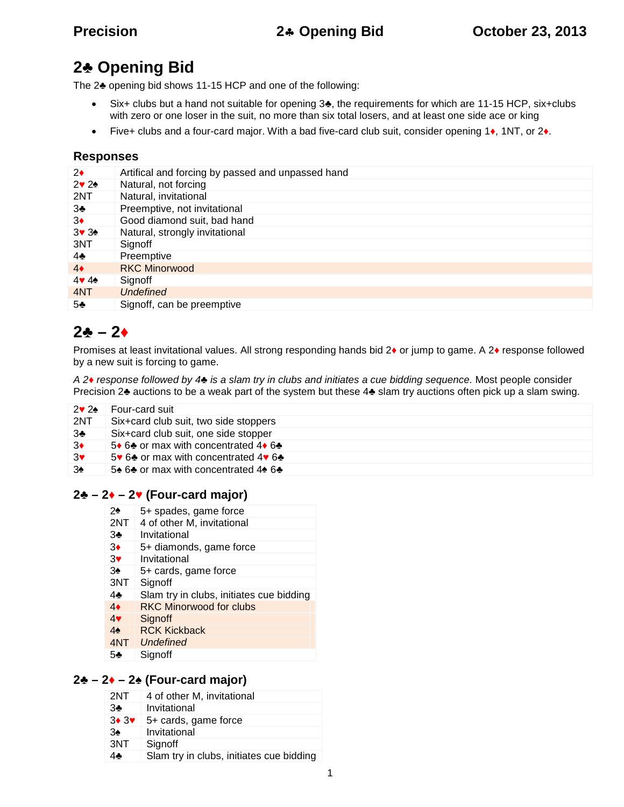# **2 Opening Bid**

The 2 opening bid shows 11-15 HCP and one of the following:

- Six+ clubs but a hand not suitable for opening 3 , the requirements for which are 11-15 HCP, six+clubs with zero or one loser in the suit, no more than six total losers, and at least one side ace or king
- Five+ clubs and a four-card major. With a bad five-card club suit, consider opening 1 , 1NT, or 2 .

#### **Responses**

| 2              | Artifical and forcing by passed and unpassed hand |
|----------------|---------------------------------------------------|
| 2 <sub>2</sub> | Natural, not forcing                              |
| 2NT            | Natural, invitational                             |
| 3              | Preemptive, not invitational                      |
| 3              | Good diamond suit, bad hand                       |
| 3 <sub>3</sub> | Natural, strongly invitational                    |
| 3NT            | Signoff                                           |
| 4              | Preemptive                                        |
| $\overline{4}$ | <b>RKC Minorwood</b>                              |
| 44             | Signoff                                           |
| 4NT            | <b>Undefined</b>                                  |
| 5              | Signoff, can be preemptive                        |
|                |                                                   |

# **2 – 2**

Promises at least invitational values. All strong responding hands bid 2 or jump to game. A 2 response followed by a new suit is forcing to game.

*A 2 response followed by 4 is a slam try in clubs and initiates a cue bidding sequence.* Most people consider Precision 2 auctions to be a weak part of the system but these 4 slam try auctions often pick up a slam swing.

| 2 2 | Four-card suit                        |
|-----|---------------------------------------|
| 2NT | Six+card club suit, two side stoppers |
| 3   | Six+card club suit, one side stopper  |
| 3   | 5 6 or max with concentrated 4 6      |
| 3   | 5 6 or max with concentrated 4 6      |
| 3   | 5 6 or max with concentrated 4 6      |
|     |                                       |

#### $2 - 2 - 2$  (Four-card major)

- 2 5+ spades, game force
- 2NT 4 of other M, invitational
- 3 Invitational
- 3 5+ diamonds, game force
- 3 Invitational
- 3 5+ cards, game force<br>3NT Signoff Signoff
- 4 Slam try in clubs, initiates cue bidding
- 4 RKC Minorwood for clubs
- 4 Signoff
- 4 RCK Kickback
- 4NT *Undefined*
- 5 Signoff

#### $2 - 2 - 2$  (Four-card major)

| 2NT | 4 of other M, invitational               |
|-----|------------------------------------------|
| 3   | Invitational                             |
| 3 3 | 5+ cards, game force                     |
| 3   | Invitational                             |
| 3NT | Signoff                                  |
|     | Slam try in clubs, initiates cue bidding |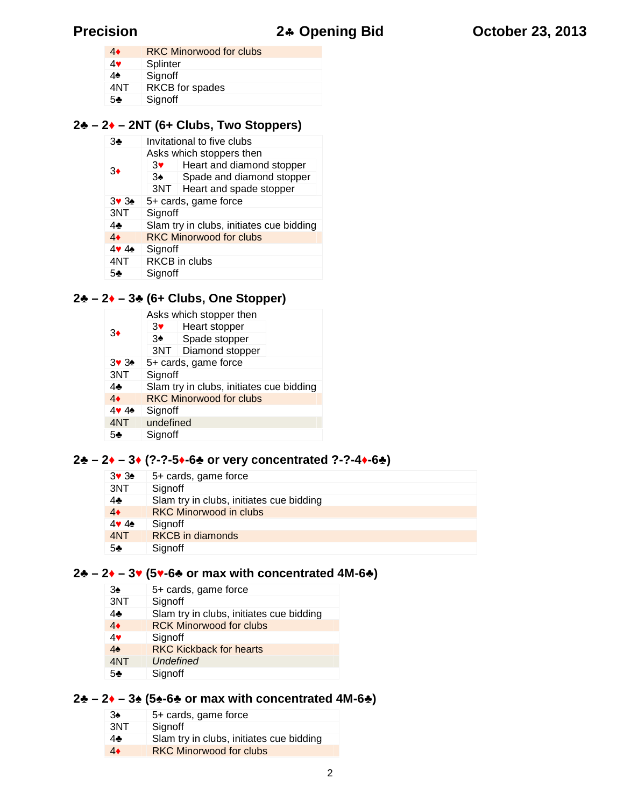|     | <b>RKC Minorwood for clubs</b> |
|-----|--------------------------------|
|     | Splinter                       |
|     | Signoff                        |
| 4NT | <b>RKCB</b> for spades         |
| 5   | Signoff                        |

#### **– 2 – 2NT (6+ Clubs, Two Stoppers)**

| 3   |                                          | Invitational to five clubs  |
|-----|------------------------------------------|-----------------------------|
|     |                                          | Asks which stoppers then    |
| 3   | 3                                        | Heart and diamond stopper   |
|     | 3                                        | Spade and diamond stopper   |
|     |                                          | 3NT Heart and spade stopper |
| 33  |                                          | 5+ cards, game force        |
| 3NT | Signoff                                  |                             |
| 4   | Slam try in clubs, initiates cue bidding |                             |
| 4   | <b>RKC Minorwood for clubs</b>           |                             |
|     | Signoff                                  |                             |
| 4NT |                                          | <b>RKCB</b> in clubs        |
| 5   | Signoff                                  |                             |

### **– 2 – 3 (6+ Clubs, One Stopper)**

|     |                                          | Asks which stopper then        |  |
|-----|------------------------------------------|--------------------------------|--|
| З   | 3                                        | Heart stopper                  |  |
|     | 3                                        | Spade stopper                  |  |
|     |                                          | 3NT   Diamond stopper          |  |
| 33  | 5+ cards, game force                     |                                |  |
| 3NT | Signoff                                  |                                |  |
| 4   | Slam try in clubs, initiates cue bidding |                                |  |
| 4   |                                          | <b>RKC Minorwood for clubs</b> |  |
|     | Signoff                                  |                                |  |
| 4NT | undefined                                |                                |  |
| 5   | Signoff                                  |                                |  |

### **– 2 – 3 (?-?-5 -6 or very concentrated ?-?-4 -6♣)**

- 3 3 5+ cards, game force<br>3NT Signoff
- Signoff
- 4 Slam try in clubs, initiates cue bidding<br>4 RKC Minorwood in clubs
- **RKC Minorwood in clubs**
- 4 Signoff
- 4NT RKCB in diamonds
- Signoff

#### **– 2 – 3 (5 -6 or max with concentrated 4M-6 )**

- 3 5+ cards, game force<br>3NT Signoff
- Signoff
- Slam try in clubs, initiates cue bidding
- RCK Minorwood for clubs
- 
- 4 Signoff<br>4 RKC Ki **RKC Kickback for hearts**
- 4NT *Undefined*
- Signoff

#### $2 - 2 - 3$  (5  $-6$  or max with concentrated 4M-6 )

| 3   | 5+ cards, game force                     |
|-----|------------------------------------------|
| 3NT | Signoff                                  |
|     | Slam try in clubs, initiates cue bidding |
|     | <b>RKC Minorwood for clubs</b>           |